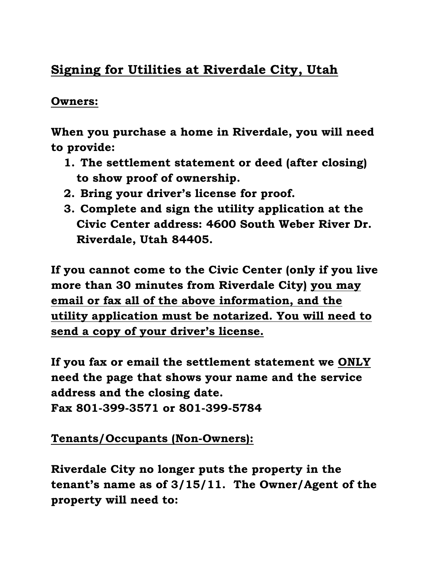## Signing for Utilities at Riverdale City, Utah

## Owners:

When you purchase a home in Riverdale, you will need to provide:

- 1. The settlement statement or deed (after closing) to show proof of ownership.
- 2. Bring your driver's license for proof.
- 3. Complete and sign the utility application at the Civic Center address: 4600 South Weber River Dr. Riverdale, Utah 84405.

If you cannot come to the Civic Center (only if you live more than 30 minutes from Riverdale City) you may email or fax all of the above information, and the utility application must be notarized. You will need to send a copy of your driver's license.

If you fax or email the settlement statement we ONLY need the page that shows your name and the service address and the closing date. Fax 801-399-3571 or 801-399-5784

## Tenants/Occupants (Non-Owners):

Riverdale City no longer puts the property in the tenant's name as of 3/15/11. The Owner/Agent of the property will need to: